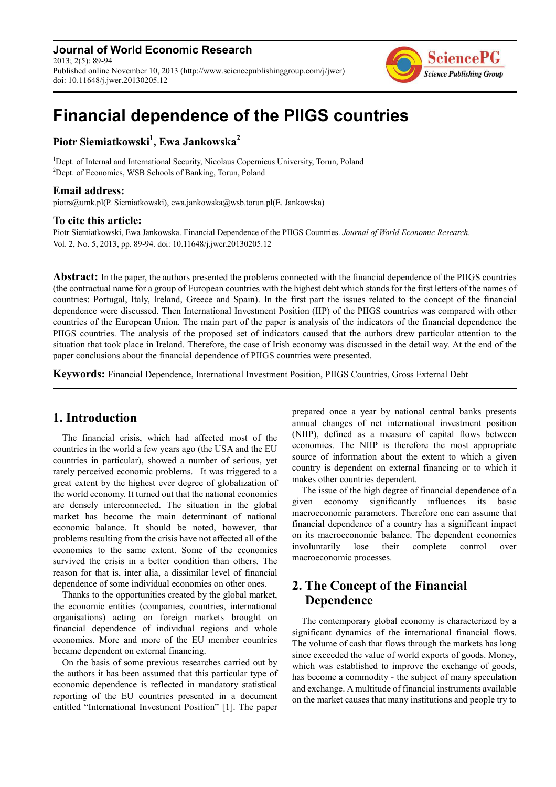**Journal of World Economic Research** 2013; 2(5): 89-94 Published online November 10, 2013 (http://www.sciencepublishinggroup.com/j/jwer) doi: 10.11648/j.jwer.20130205.12



# **Financial dependence of the PIIGS countries**

**Piotr Siemiatkowski<sup>1</sup> , Ewa Jankowska<sup>2</sup>**

<sup>1</sup>Dept. of Internal and International Security, Nicolaus Copernicus University, Torun, Poland <sup>2</sup>Dept. of Economics, WSB Schools of Banking, Torun, Poland

#### **Email address:**

piotrs@umk.pl(P. Siemiatkowski), ewa.jankowska@wsb.torun.pl(E. Jankowska)

#### **To cite this article:**

Piotr Siemiatkowski, Ewa Jankowska. Financial Dependence of the PIIGS Countries. *Journal of World Economic Research.*  Vol. 2, No. 5, 2013, pp. 89-94. doi: 10.11648/j.jwer.20130205.12

**Abstract:** In the paper, the authors presented the problems connected with the financial dependence of the PIIGS countries (the contractual name for a group of European countries with the highest debt which stands for the first letters of the names of countries: Portugal, Italy, Ireland, Greece and Spain). In the first part the issues related to the concept of the financial dependence were discussed. Then International Investment Position (IIP) of the PIIGS countries was compared with other countries of the European Union. The main part of the paper is analysis of the indicators of the financial dependence the PIIGS countries. The analysis of the proposed set of indicators caused that the authors drew particular attention to the situation that took place in Ireland. Therefore, the case of Irish economy was discussed in the detail way. At the end of the paper conclusions about the financial dependence of PIIGS countries were presented.

**Keywords:** Financial Dependence, International Investment Position, PIIGS Countries, Gross External Debt

### **1. Introduction**

The financial crisis, which had affected most of the countries in the world a few years ago (the USA and the EU countries in particular), showed a number of serious, yet rarely perceived economic problems. It was triggered to a great extent by the highest ever degree of globalization of the world economy. It turned out that the national economies are densely interconnected. The situation in the global market has become the main determinant of national economic balance. It should be noted, however, that problems resulting from the crisis have not affected all of the economies to the same extent. Some of the economies survived the crisis in a better condition than others. The reason for that is, inter alia, a dissimilar level of financial dependence of some individual economies on other ones.

Thanks to the opportunities created by the global market, the economic entities (companies, countries, international organisations) acting on foreign markets brought on financial dependence of individual regions and whole economies. More and more of the EU member countries became dependent on external financing.

On the basis of some previous researches carried out by the authors it has been assumed that this particular type of economic dependence is reflected in mandatory statistical reporting of the EU countries presented in a document entitled "International Investment Position" [1]. The paper

prepared once a year by national central banks presents annual changes of net international investment position (NIIP), defined as a measure of capital flows between economies. The NIIP is therefore the most appropriate source of information about the extent to which a given country is dependent on external financing or to which it makes other countries dependent.

The issue of the high degree of financial dependence of a given economy significantly influences its basic macroeconomic parameters. Therefore one can assume that financial dependence of a country has a significant impact on its macroeconomic balance. The dependent economies involuntarily lose their complete control over macroeconomic processes.

## **2. The Concept of the Financial Dependence**

The contemporary global economy is characterized by a significant dynamics of the international financial flows. The volume of cash that flows through the markets has long since exceeded the value of world exports of goods. Money, which was established to improve the exchange of goods, has become a commodity - the subject of many speculation and exchange. A multitude of financial instruments available on the market causes that many institutions and people try to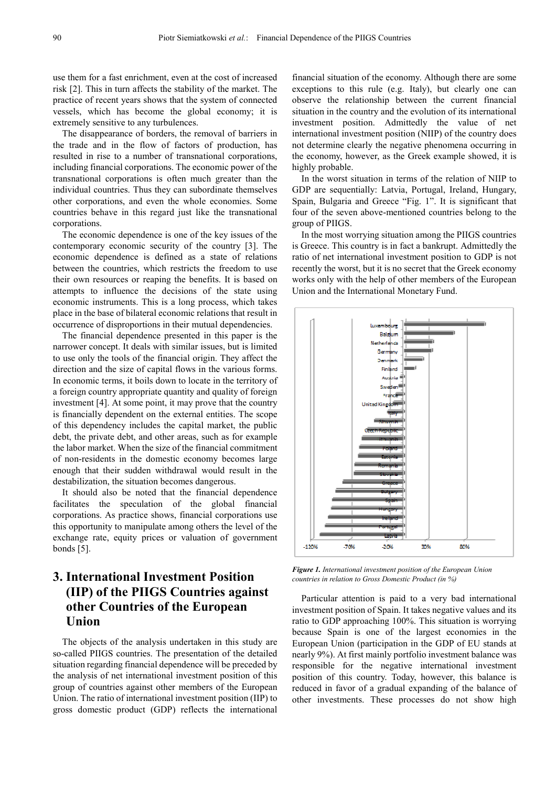use them for a fast enrichment, even at the cost of increased risk [2]. This in turn affects the stability of the market. The practice of recent years shows that the system of connected vessels, which has become the global economy; it is extremely sensitive to any turbulences.

The disappearance of borders, the removal of barriers in the trade and in the flow of factors of production, has resulted in rise to a number of transnational corporations, including financial corporations. The economic power of the transnational corporations is often much greater than the individual countries. Thus they can subordinate themselves other corporations, and even the whole economies. Some countries behave in this regard just like the transnational corporations.

The economic dependence is one of the key issues of the contemporary economic security of the country [3]. The economic dependence is defined as a state of relations between the countries, which restricts the freedom to use their own resources or reaping the benefits. It is based on attempts to influence the decisions of the state using economic instruments. This is a long process, which takes place in the base of bilateral economic relations that result in occurrence of disproportions in their mutual dependencies.

The financial dependence presented in this paper is the narrower concept. It deals with similar issues, but is limited to use only the tools of the financial origin. They affect the direction and the size of capital flows in the various forms. In economic terms, it boils down to locate in the territory of a foreign country appropriate quantity and quality of foreign investment [4]. At some point, it may prove that the country is financially dependent on the external entities. The scope of this dependency includes the capital market, the public debt, the private debt, and other areas, such as for example the labor market. When the size of the financial commitment of non-residents in the domestic economy becomes large enough that their sudden withdrawal would result in the destabilization, the situation becomes dangerous.

It should also be noted that the financial dependence facilitates the speculation of the global financial corporations. As practice shows, financial corporations use this opportunity to manipulate among others the level of the exchange rate, equity prices or valuation of government bonds [5].

# **3. International Investment Position (IIP) of the PIIGS Countries against other Countries of the European Union**

The objects of the analysis undertaken in this study are so-called PIIGS countries. The presentation of the detailed situation regarding financial dependence will be preceded by the analysis of net international investment position of this group of countries against other members of the European Union. The ratio of international investment position (IIP) to gross domestic product (GDP) reflects the international

financial situation of the economy. Although there are some exceptions to this rule (e.g. Italy), but clearly one can observe the relationship between the current financial situation in the country and the evolution of its international investment position. Admittedly the value of net international investment position (NIIP) of the country does not determine clearly the negative phenomena occurring in the economy, however, as the Greek example showed, it is highly probable.

In the worst situation in terms of the relation of NIIP to GDP are sequentially: Latvia, Portugal, Ireland, Hungary, Spain, Bulgaria and Greece "Fig. 1". It is significant that four of the seven above-mentioned countries belong to the group of PIIGS.

In the most worrying situation among the PIIGS countries is Greece. This country is in fact a bankrupt. Admittedly the ratio of net international investment position to GDP is not recently the worst, but it is no secret that the Greek economy works only with the help of other members of the European Union and the International Monetary Fund.



*Figure 1. International investment position of the European Union countries in relation to Gross Domestic Product (in %)* 

Particular attention is paid to a very bad international investment position of Spain. It takes negative values and its ratio to GDP approaching 100%. This situation is worrying because Spain is one of the largest economies in the European Union (participation in the GDP of EU stands at nearly 9%). At first mainly portfolio investment balance was responsible for the negative international investment position of this country. Today, however, this balance is reduced in favor of a gradual expanding of the balance of other investments. These processes do not show high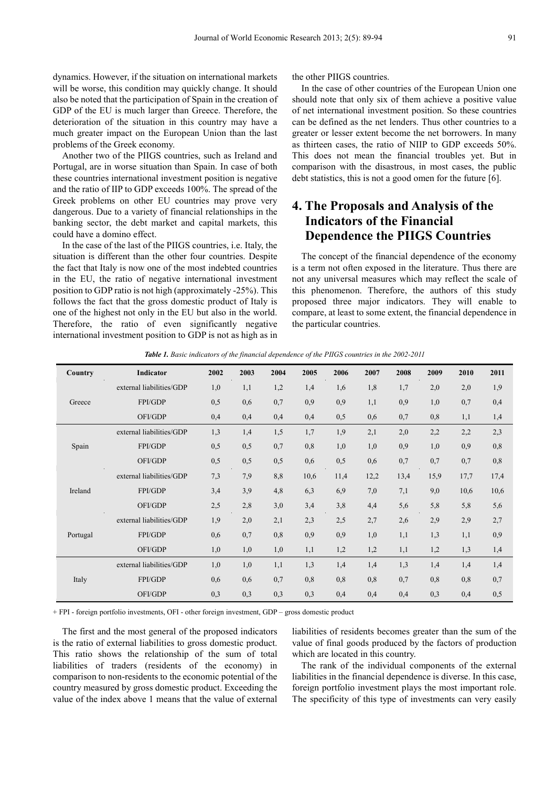dynamics. However, if the situation on international markets will be worse, this condition may quickly change. It should also be noted that the participation of Spain in the creation of GDP of the EU is much larger than Greece. Therefore, the deterioration of the situation in this country may have a much greater impact on the European Union than the last problems of the Greek economy.

Another two of the PIIGS countries, such as Ireland and Portugal, are in worse situation than Spain. In case of both these countries international investment position is negative and the ratio of IIP to GDP exceeds 100%. The spread of the Greek problems on other EU countries may prove very dangerous. Due to a variety of financial relationships in the banking sector, the debt market and capital markets, this could have a domino effect.

In the case of the last of the PIIGS countries, i.e. Italy, the situation is different than the other four countries. Despite the fact that Italy is now one of the most indebted countries in the EU, the ratio of negative international investment position to GDP ratio is not high (approximately -25%). This follows the fact that the gross domestic product of Italy is one of the highest not only in the EU but also in the world. Therefore, the ratio of even significantly negative international investment position to GDP is not as high as in the other PIIGS countries.

In the case of other countries of the European Union one should note that only six of them achieve a positive value of net international investment position. So these countries can be defined as the net lenders. Thus other countries to a greater or lesser extent become the net borrowers. In many as thirteen cases, the ratio of NIIP to GDP exceeds 50%. This does not mean the financial troubles yet. But in comparison with the disastrous, in most cases, the public debt statistics, this is not a good omen for the future [6].

## **4. The Proposals and Analysis of the Indicators of the Financial Dependence the PIIGS Countries**

The concept of the financial dependence of the economy is a term not often exposed in the literature. Thus there are not any universal measures which may reflect the scale of this phenomenon. Therefore, the authors of this study proposed three major indicators. They will enable to compare, at least to some extent, the financial dependence in the particular countries.

| Country  | Indicator                | 2002 | 2003 | 2004 | 2005 | 2006 | 2007 | 2008 | 2009 | 2010 | 2011 |
|----------|--------------------------|------|------|------|------|------|------|------|------|------|------|
| Greece   | external liabilities/GDP | 1,0  | 1,1  | 1,2  | 1,4  | 1,6  | 1,8  | 1,7  | 2,0  | 2,0  | 1,9  |
|          | FPI/GDP                  | 0,5  | 0,6  | 0,7  | 0,9  | 0,9  | 1,1  | 0,9  | 1,0  | 0,7  | 0,4  |
|          | OFI/GDP                  | 0,4  | 0,4  | 0,4  | 0,4  | 0,5  | 0,6  | 0,7  | 0,8  | 1,1  | 1,4  |
| Spain    | external liabilities/GDP | 1,3  | 1,4  | 1,5  | 1,7  | 1,9  | 2,1  | 2,0  | 2,2  | 2,2  | 2,3  |
|          | FPI/GDP                  | 0,5  | 0,5  | 0,7  | 0,8  | 1,0  | 1,0  | 0,9  | 1,0  | 0,9  | 0,8  |
|          | OFI/GDP                  | 0,5  | 0,5  | 0,5  | 0,6  | 0,5  | 0,6  | 0,7  | 0,7  | 0.7  | 0,8  |
| Ireland  | external liabilities/GDP | 7,3  | 7,9  | 8,8  | 10,6 | 11,4 | 12,2 | 13,4 | 15,9 | 17,7 | 17,4 |
|          | FPI/GDP                  | 3,4  | 3,9  | 4,8  | 6,3  | 6,9  | 7,0  | 7,1  | 9,0  | 10,6 | 10,6 |
|          | OFI/GDP                  | 2,5  | 2,8  | 3,0  | 3,4  | 3,8  | 4,4  | 5,6  | 5,8  | 5,8  | 5,6  |
| Portugal | external liabilities/GDP | 1,9  | 2,0  | 2,1  | 2,3  | 2,5  | 2,7  | 2,6  | 2,9  | 2,9  | 2,7  |
|          | FPI/GDP                  | 0.6  | 0,7  | 0,8  | 0,9  | 0,9  | 1,0  | 1,1  | 1,3  | 1,1  | 0,9  |
|          | OFI/GDP                  | 1,0  | 1,0  | 1,0  | 1,1  | 1,2  | 1,2  | 1,1  | 1,2  | 1,3  | 1,4  |
| Italy    | external liabilities/GDP | 1,0  | 1,0  | 1,1  | 1,3  | 1,4  | 1,4  | 1,3  | 1,4  | 1,4  | 1,4  |
|          | FPI/GDP                  | 0,6  | 0,6  | 0,7  | 0,8  | 0,8  | 0,8  | 0,7  | 0,8  | 0,8  | 0,7  |
|          | OFI/GDP                  | 0,3  | 0,3  | 0,3  | 0,3  | 0,4  | 0,4  | 0,4  | 0,3  | 0,4  | 0,5  |

*Table 1. Basic indicators of the financial dependence of the PIIGS countries in the 2002-2011* 

+ FPI - foreign portfolio investments, OFI - other foreign investment, GDP – gross domestic product

The first and the most general of the proposed indicators is the ratio of external liabilities to gross domestic product. This ratio shows the relationship of the sum of total liabilities of traders (residents of the economy) in comparison to non-residents to the economic potential of the country measured by gross domestic product. Exceeding the value of the index above 1 means that the value of external

liabilities of residents becomes greater than the sum of the value of final goods produced by the factors of production which are located in this country.

The rank of the individual components of the external liabilities in the financial dependence is diverse. In this case, foreign portfolio investment plays the most important role. The specificity of this type of investments can very easily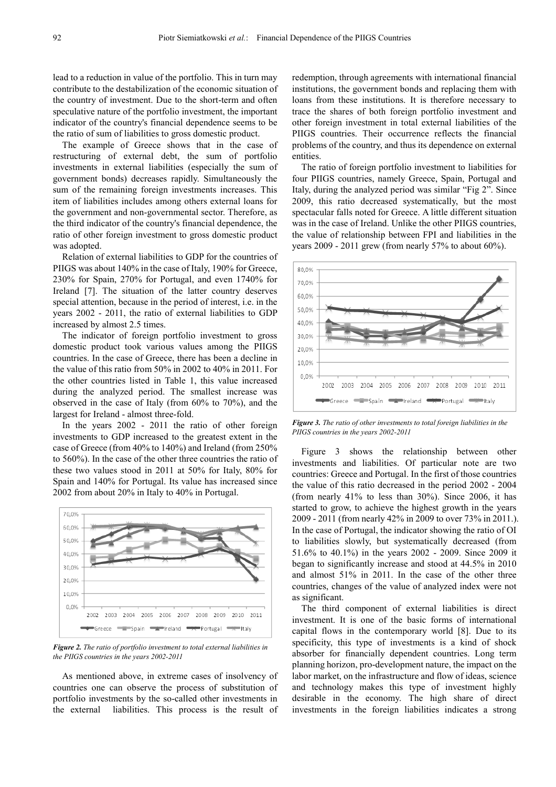lead to a reduction in value of the portfolio. This in turn may contribute to the destabilization of the economic situation of the country of investment. Due to the short-term and often speculative nature of the portfolio investment, the important indicator of the country's financial dependence seems to be the ratio of sum of liabilities to gross domestic product.

The example of Greece shows that in the case of restructuring of external debt, the sum of portfolio investments in external liabilities (especially the sum of government bonds) decreases rapidly. Simultaneously the sum of the remaining foreign investments increases. This item of liabilities includes among others external loans for the government and non-governmental sector. Therefore, as the third indicator of the country's financial dependence, the ratio of other foreign investment to gross domestic product was adopted.

Relation of external liabilities to GDP for the countries of PIIGS was about 140% in the case of Italy, 190% for Greece, 230% for Spain, 270% for Portugal, and even 1740% for Ireland [7]. The situation of the latter country deserves special attention, because in the period of interest, i.e. in the years 2002 - 2011, the ratio of external liabilities to GDP increased by almost 2.5 times.

The indicator of foreign portfolio investment to gross domestic product took various values among the PIIGS countries. In the case of Greece, there has been a decline in the value of this ratio from 50% in 2002 to 40% in 2011. For the other countries listed in Table 1, this value increased during the analyzed period. The smallest increase was observed in the case of Italy (from 60% to 70%), and the largest for Ireland - almost three-fold.

In the years 2002 - 2011 the ratio of other foreign investments to GDP increased to the greatest extent in the case of Greece (from 40% to 140%) and Ireland (from 250% to 560%). In the case of the other three countries the ratio of these two values stood in 2011 at 50% for Italy, 80% for Spain and 140% for Portugal. Its value has increased since 2002 from about 20% in Italy to 40% in Portugal.



*Figure 2. The ratio of portfolio investment to total external liabilities in the PIIGS countries in the years 2002-2011* 

As mentioned above, in extreme cases of insolvency of countries one can observe the process of substitution of portfolio investments by the so-called other investments in the external liabilities. This process is the result of

redemption, through agreements with international financial institutions, the government bonds and replacing them with loans from these institutions. It is therefore necessary to trace the shares of both foreign portfolio investment and other foreign investment in total external liabilities of the PIIGS countries. Their occurrence reflects the financial problems of the country, and thus its dependence on external entities.

The ratio of foreign portfolio investment to liabilities for four PIIGS countries, namely Greece, Spain, Portugal and Italy, during the analyzed period was similar "Fig 2". Since 2009, this ratio decreased systematically, but the most spectacular falls noted for Greece. A little different situation was in the case of Ireland. Unlike the other PIIGS countries, the value of relationship between FPI and liabilities in the years  $2009 - 2011$  grew (from nearly 57% to about 60%).



*Figure 3. The ratio of other investments to total foreign liabilities in the PIIGS countries in the years 2002-2011* 

Figure 3 shows the relationship between other investments and liabilities. Of particular note are two countries: Greece and Portugal. In the first of those countries the value of this ratio decreased in the period 2002 - 2004 (from nearly 41% to less than 30%). Since 2006, it has started to grow, to achieve the highest growth in the years 2009 - 2011 (from nearly 42% in 2009 to over 73% in 2011.). In the case of Portugal, the indicator showing the ratio of OI to liabilities slowly, but systematically decreased (from 51.6% to 40.1%) in the years 2002 - 2009. Since 2009 it began to significantly increase and stood at 44.5% in 2010 and almost 51% in 2011. In the case of the other three countries, changes of the value of analyzed index were not as significant.

The third component of external liabilities is direct investment. It is one of the basic forms of international capital flows in the contemporary world [8]. Due to its specificity, this type of investments is a kind of shock absorber for financially dependent countries. Long term planning horizon, pro-development nature, the impact on the labor market, on the infrastructure and flow of ideas, science and technology makes this type of investment highly desirable in the economy. The high share of direct investments in the foreign liabilities indicates a strong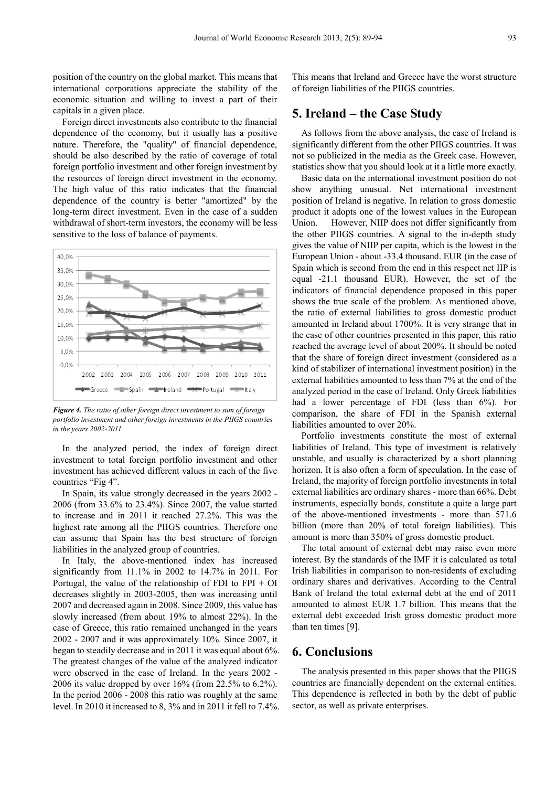position of the country on the global market. This means that international corporations appreciate the stability of the economic situation and willing to invest a part of their capitals in a given place.

Foreign direct investments also contribute to the financial dependence of the economy, but it usually has a positive nature. Therefore, the "quality" of financial dependence, should be also described by the ratio of coverage of total foreign portfolio investment and other foreign investment by the resources of foreign direct investment in the economy. The high value of this ratio indicates that the financial dependence of the country is better "amortized" by the long-term direct investment. Even in the case of a sudden withdrawal of short-term investors, the economy will be less sensitive to the loss of balance of payments.



*Figure 4. The ratio of other foreign direct investment to sum of foreign portfolio investment and other foreign investments in the PIIGS countries in the years 2002-2011* 

In the analyzed period, the index of foreign direct investment to total foreign portfolio investment and other investment has achieved different values in each of the five countries "Fig 4".

In Spain, its value strongly decreased in the years 2002 - 2006 (from 33.6% to 23.4%). Since 2007, the value started to increase and in 2011 it reached 27.2%. This was the highest rate among all the PIIGS countries. Therefore one can assume that Spain has the best structure of foreign liabilities in the analyzed group of countries.

In Italy, the above-mentioned index has increased significantly from 11.1% in 2002 to 14.7% in 2011. For Portugal, the value of the relationship of FDI to  $FPI + OI$ decreases slightly in 2003-2005, then was increasing until 2007 and decreased again in 2008. Since 2009, this value has slowly increased (from about 19% to almost 22%). In the case of Greece, this ratio remained unchanged in the years 2002 - 2007 and it was approximately 10%. Since 2007, it began to steadily decrease and in 2011 it was equal about 6%. The greatest changes of the value of the analyzed indicator were observed in the case of Ireland. In the years 2002 - 2006 its value dropped by over 16% (from 22.5% to 6.2%). In the period 2006 - 2008 this ratio was roughly at the same level. In 2010 it increased to 8, 3% and in 2011 it fell to 7.4%.

This means that Ireland and Greece have the worst structure of foreign liabilities of the PIIGS countries.

### **5. Ireland – the Case Study**

As follows from the above analysis, the case of Ireland is significantly different from the other PIIGS countries. It was not so publicized in the media as the Greek case. However, statistics show that you should look at it a little more exactly.

Basic data on the international investment position do not show anything unusual. Net international investment position of Ireland is negative. In relation to gross domestic product it adopts one of the lowest values in the European Union. However, NIIP does not differ significantly from the other PIIGS countries. A signal to the in-depth study gives the value of NIIP per capita, which is the lowest in the European Union - about -33.4 thousand. EUR (in the case of Spain which is second from the end in this respect net IIP is equal -21.1 thousand EUR). However, the set of the indicators of financial dependence proposed in this paper shows the true scale of the problem. As mentioned above, the ratio of external liabilities to gross domestic product amounted in Ireland about 1700%. It is very strange that in the case of other countries presented in this paper, this ratio reached the average level of about 200%. It should be noted that the share of foreign direct investment (considered as a kind of stabilizer of international investment position) in the external liabilities amounted to less than 7% at the end of the analyzed period in the case of Ireland. Only Greek liabilities had a lower percentage of FDI (less than 6%). For comparison, the share of FDI in the Spanish external liabilities amounted to over 20%.

Portfolio investments constitute the most of external liabilities of Ireland. This type of investment is relatively unstable, and usually is characterized by a short planning horizon. It is also often a form of speculation. In the case of Ireland, the majority of foreign portfolio investments in total external liabilities are ordinary shares - more than 66%. Debt instruments, especially bonds, constitute a quite a large part of the above-mentioned investments - more than 571.6 billion (more than 20% of total foreign liabilities). This amount is more than 350% of gross domestic product.

The total amount of external debt may raise even more interest. By the standards of the IMF it is calculated as total Irish liabilities in comparison to non-residents of excluding ordinary shares and derivatives. According to the Central Bank of Ireland the total external debt at the end of 2011 amounted to almost EUR 1.7 billion. This means that the external debt exceeded Irish gross domestic product more than ten times [9].

#### **6. Conclusions**

The analysis presented in this paper shows that the PIIGS countries are financially dependent on the external entities. This dependence is reflected in both by the debt of public sector, as well as private enterprises.